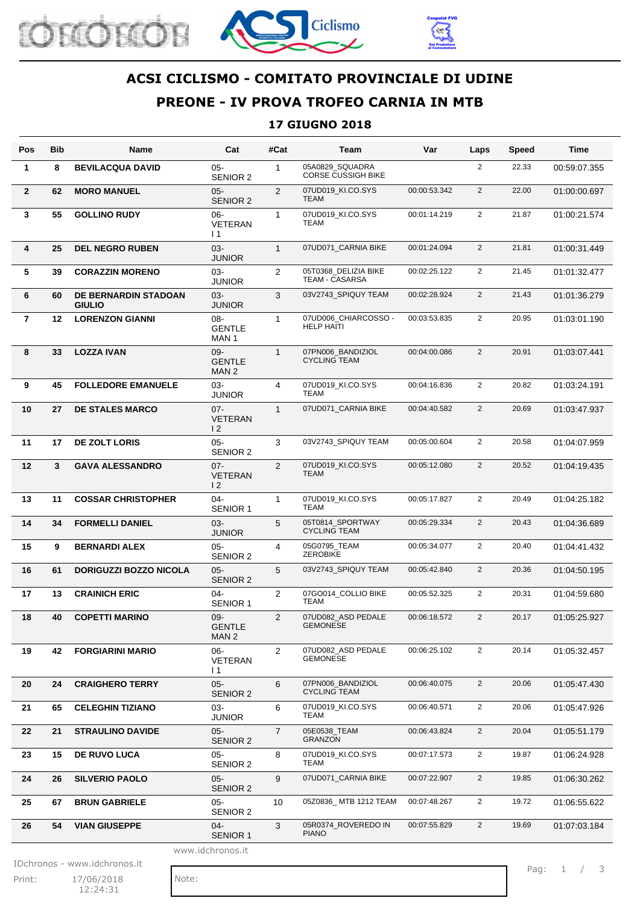





## **ACSI CICLISMO - COMITATO PROVINCIALE DI UDINE**

# **PREONE - IV PROVA TROFEO CARNIA IN MTB**

#### **17 GIUGNO 2018**

| Pos              | <b>Bib</b> | <b>Name</b>                                  | Cat                                         | #Cat           | Team                                      | Var          | Laps           | <b>Speed</b> | Time         |
|------------------|------------|----------------------------------------------|---------------------------------------------|----------------|-------------------------------------------|--------------|----------------|--------------|--------------|
| 1                | 8          | <b>BEVILACQUA DAVID</b>                      | $05 -$<br>SENIOR 2                          | $\mathbf{1}$   | 05A0829 SQUADRA<br>CORSE CUSSIGH BIKE     |              | $\overline{2}$ | 22.33        | 00:59:07.355 |
| $\overline{2}$   | 62         | <b>MORO MANUEL</b>                           | $05 -$<br><b>SENIOR 2</b>                   | 2              | 07UD019 KI.CO.SYS<br><b>TEAM</b>          | 00:00:53.342 | $\overline{2}$ | 22.00        | 01:00:00.697 |
| 3                | 55         | <b>GOLLINO RUDY</b>                          | $06 -$<br><b>VETERAN</b><br>$\overline{11}$ | 1              | 07UD019_KI.CO.SYS<br>TEAM                 | 00:01:14.219 | $\overline{2}$ | 21.87        | 01:00:21.574 |
| 4                | 25         | <b>DEL NEGRO RUBEN</b>                       | $03 -$<br><b>JUNIOR</b>                     | $\mathbf{1}$   | 07UD071_CARNIA BIKE                       | 00:01:24.094 | $\overline{2}$ | 21.81        | 01:00:31.449 |
| 5                | 39         | <b>CORAZZIN MORENO</b>                       | 03-<br><b>JUNIOR</b>                        | 2              | 05T0368 DELIZIA BIKE<br>TEAM - CASARSA    | 00:02:25.122 | $\overline{2}$ | 21.45        | 01:01:32.477 |
| 6                | 60         | <b>DE BERNARDIN STADOAN</b><br><b>GIULIO</b> | $03 -$<br><b>JUNIOR</b>                     | 3              | 03V2743_SPIQUY TEAM                       | 00:02:28.924 | $\overline{2}$ | 21.43        | 01:01:36.279 |
| $\overline{7}$   | 12         | <b>LORENZON GIANNI</b>                       | 08-<br><b>GENTLE</b><br>MAN 1               | $\mathbf{1}$   | 07UD006_CHIARCOSSO -<br><b>HELP HAITI</b> | 00:03:53.835 | 2              | 20.95        | 01:03:01.190 |
| 8                | 33         | <b>LOZZA IVAN</b>                            | 09-<br><b>GENTLE</b><br>MAN 2               | $\mathbf{1}$   | 07PN006 BANDIZIOL<br><b>CYCLING TEAM</b>  | 00:04:00.086 | $\overline{2}$ | 20.91        | 01:03:07.441 |
| 9                | 45         | <b>FOLLEDORE EMANUELE</b>                    | $03 -$<br><b>JUNIOR</b>                     | $\overline{4}$ | 07UD019_KI.CO.SYS<br>TEAM                 | 00:04:16.836 | $\overline{2}$ | 20.82        | 01:03:24.191 |
| 10               | 27         | <b>DE STALES MARCO</b>                       | $07 -$<br><b>VETERAN</b><br>$\overline{2}$  | $\mathbf{1}$   | 07UD071_CARNIA BIKE                       | 00:04:40.582 | 2              | 20.69        | 01:03:47.937 |
| 11               | 17         | <b>DE ZOLT LORIS</b>                         | $05 -$<br><b>SENIOR 2</b>                   | 3              | 03V2743_SPIQUY TEAM                       | 00:05:00.604 | $\overline{2}$ | 20.58        | 01:04:07.959 |
| 12               | 3          | <b>GAVA ALESSANDRO</b>                       | $07 -$<br><b>VETERAN</b><br>$\overline{2}$  | 2              | 07UD019_KI.CO.SYS<br>TEAM                 | 00:05:12.080 | $\overline{2}$ | 20.52        | 01:04:19.435 |
| 13               | 11         | <b>COSSAR CHRISTOPHER</b>                    | $04 -$<br>SENIOR 1                          | $\mathbf{1}$   | 07UD019_KI.CO.SYS<br>TEAM                 | 00:05:17.827 | $\overline{2}$ | 20.49        | 01:04:25.182 |
| 14               | 34         | <b>FORMELLI DANIEL</b>                       | $03 -$<br><b>JUNIOR</b>                     | 5              | 05T0814 SPORTWAY<br><b>CYCLING TEAM</b>   | 00:05:29.334 | $\overline{2}$ | 20.43        | 01:04:36.689 |
| 15               | 9          | <b>BERNARDI ALEX</b>                         | $05 -$<br><b>SENIOR 2</b>                   | $\overline{4}$ | 05G0795 TEAM<br><b>ZEROBIKE</b>           | 00:05:34.077 | $\overline{2}$ | 20.40        | 01:04:41.432 |
| 16               | 61         | <b>DORIGUZZI BOZZO NICOLA</b>                | $05 -$<br><b>SENIOR 2</b>                   | 5              | 03V2743 SPIQUY TEAM                       | 00:05:42.840 | $\overline{2}$ | 20.36        | 01:04:50.195 |
| 17               | 13         | <b>CRAINICH ERIC</b>                         | $04 -$<br><b>SENIOR 1</b>                   | $\overline{2}$ | 07GO014_COLLIO BIKE<br>TEAM               | 00:05:52.325 | $\overline{2}$ | 20.31        | 01:04:59.680 |
| 18               | 40         | <b>COPETTI MARINO</b>                        | 09-<br><b>GENTLE</b><br>MAN 2               | $\mathfrak{p}$ | 07UD082 ASD PEDALE<br><b>GEMONESE</b>     | 00:06:18.572 | $\overline{2}$ | 20.17        | 01:05:25.927 |
| 19               | 42         | <b>FORGIARINI MARIO</b>                      | $06 -$<br><b>VETERAN</b><br>$\overline{11}$ | $\overline{2}$ | 07UD082 ASD PEDALE<br><b>GEMONESE</b>     | 00:06:25.102 | $\overline{2}$ | 20.14        | 01:05:32.457 |
| 20               | 24         | <b>CRAIGHERO TERRY</b>                       | $05 -$<br>SENIOR 2                          | 6              | 07PN006 BANDIZIOL<br><b>CYCLING TEAM</b>  | 00:06:40.075 | $\overline{2}$ | 20.06        | 01:05:47.430 |
| 21               | 65         | <b>CELEGHIN TIZIANO</b>                      | $03 -$<br><b>JUNIOR</b>                     | 6              | 07UD019_KI.CO.SYS<br>TEAM                 | 00:06:40.571 | $\overline{2}$ | 20.06        | 01:05:47.926 |
| 22               | 21         | <b>STRAULINO DAVIDE</b>                      | $05 -$<br><b>SENIOR 2</b>                   | $\overline{7}$ | 05E0538_TEAM<br><b>GRANZON</b>            | 00:06:43.824 | $\overline{2}$ | 20.04        | 01:05:51.179 |
| 23               | 15         | <b>DE RUVO LUCA</b>                          | $05 -$<br>SENIOR 2                          | 8              | 07UD019_KI.CO.SYS<br>TEAM                 | 00:07:17.573 | $\overline{2}$ | 19.87        | 01:06:24.928 |
| 24               | 26         | <b>SILVERIO PAOLO</b>                        | $05 -$<br><b>SENIOR 2</b>                   | 9              | 07UD071_CARNIA BIKE                       | 00:07:22.907 | $\overline{2}$ | 19.85        | 01:06:30.262 |
| 25               | 67         | <b>BRUN GABRIELE</b>                         | $05 -$<br>SENIOR 2                          | 10             | 05Z0836_MTB 1212 TEAM                     | 00:07:48.267 | $\overline{2}$ | 19.72        | 01:06:55.622 |
| 26               | 54         | <b>VIAN GIUSEPPE</b>                         | $04 -$<br><b>SENIOR 1</b>                   | 3              | 05R0374_ROVEREDO IN<br><b>PIANO</b>       | 00:07:55.829 | $\overline{2}$ | 19.69        | 01:07:03.184 |
| www.idchronos.it |            |                                              |                                             |                |                                           |              |                |              |              |

IDchronos - www.idchronos.it<br>Print: 17/06/2018 Note:

Print: 17/06/2018 Note: 12:24:31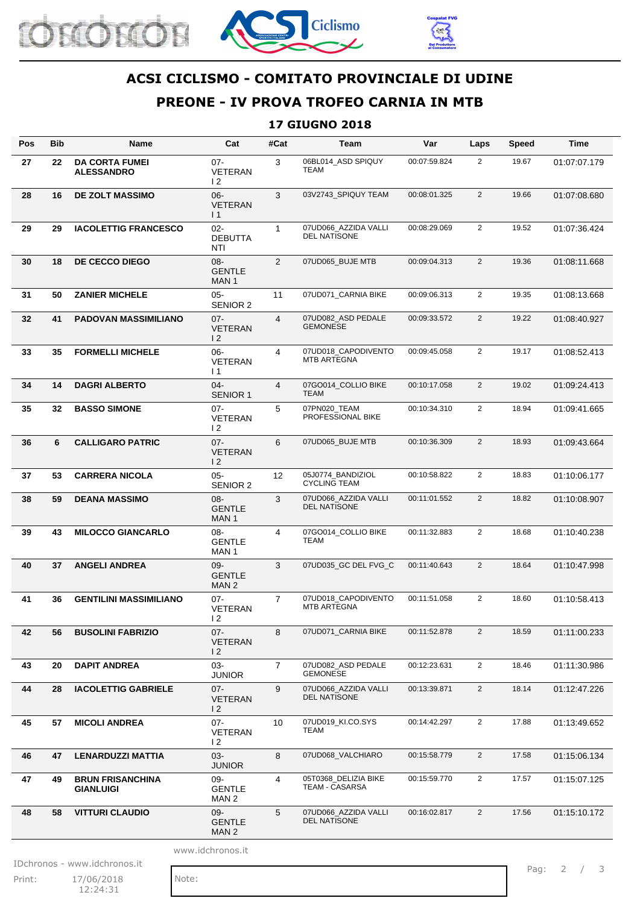





## **ACSI CICLISMO - COMITATO PROVINCIALE DI UDINE**

## **PREONE - IV PROVA TROFEO CARNIA IN MTB**

#### **17 GIUGNO 2018**

| Pos              | <b>Bib</b> | <b>Name</b>                                 | Cat                                         | #Cat           | Team                                        | Var          | Laps           | <b>Speed</b> | Time         |
|------------------|------------|---------------------------------------------|---------------------------------------------|----------------|---------------------------------------------|--------------|----------------|--------------|--------------|
| 27               | 22         | <b>DA CORTA FUMEI</b><br><b>ALESSANDRO</b>  | $07 -$<br><b>VETERAN</b><br>$\overline{2}$  | 3              | 06BL014 ASD SPIQUY<br>TEAM                  | 00:07:59.824 | $\overline{2}$ | 19.67        | 01:07:07.179 |
| 28               | 16         | <b>DE ZOLT MASSIMO</b>                      | $06 -$<br><b>VETERAN</b><br>$\vert$ 1       | 3              | 03V2743_SPIQUY TEAM                         | 00:08:01.325 | $\overline{2}$ | 19.66        | 01:07:08.680 |
| 29               | 29         | <b>IACOLETTIG FRANCESCO</b>                 | $02 -$<br><b>DEBUTTA</b><br>NTI             | $\mathbf{1}$   | 07UD066_AZZIDA VALLI<br><b>DEL NATISONE</b> | 00:08:29.069 | $\overline{2}$ | 19.52        | 01:07:36.424 |
| 30               | 18         | <b>DE CECCO DIEGO</b>                       | 08-<br><b>GENTLE</b><br>MAN <sub>1</sub>    | 2              | 07UD065_BUJE MTB                            | 00:09:04.313 | $\overline{2}$ | 19.36        | 01:08:11.668 |
| 31               | 50         | <b>ZANIER MICHELE</b>                       | $05 -$<br><b>SENIOR 2</b>                   | 11             | 07UD071_CARNIA BIKE                         | 00:09:06.313 | $\overline{2}$ | 19.35        | 01:08:13.668 |
| 32               | 41         | <b>PADOVAN MASSIMILIANO</b>                 | $07 -$<br><b>VETERAN</b><br>$\overline{2}$  | $\overline{4}$ | 07UD082_ASD PEDALE<br><b>GEMONESE</b>       | 00:09:33.572 | $\overline{2}$ | 19.22        | 01:08:40.927 |
| 33               | 35         | <b>FORMELLI MICHELE</b>                     | $06 -$<br>VETERAN<br>$\overline{11}$        | 4              | 07UD018_CAPODIVENTO<br><b>MTB ARTEGNA</b>   | 00:09:45.058 | $\overline{2}$ | 19.17        | 01:08:52.413 |
| 34               | 14         | <b>DAGRI ALBERTO</b>                        | $04 -$<br><b>SENIOR 1</b>                   | $\overline{4}$ | 07GO014_COLLIO BIKE<br><b>TEAM</b>          | 00:10:17.058 | $\overline{2}$ | 19.02        | 01:09:24.413 |
| 35               | 32         | <b>BASSO SIMONE</b>                         | $07 -$<br><b>VETERAN</b><br>$\overline{2}$  | 5              | 07PN020_TEAM<br>PROFESSIONAL BIKE           | 00:10:34.310 | $\overline{2}$ | 18.94        | 01:09:41.665 |
| 36               | 6          | <b>CALLIGARO PATRIC</b>                     | $07 -$<br><b>VETERAN</b><br>$\overline{2}$  | 6              | 07UD065_BUJE MTB                            | 00:10:36.309 | $\overline{2}$ | 18.93        | 01:09:43.664 |
| 37               | 53         | <b>CARRERA NICOLA</b>                       | $05 -$<br><b>SENIOR 2</b>                   | 12             | 05J0774 BANDIZIOL<br><b>CYCLING TEAM</b>    | 00:10:58.822 | $\overline{2}$ | 18.83        | 01:10:06.177 |
| 38               | 59         | <b>DEANA MASSIMO</b>                        | $08 -$<br><b>GENTLE</b><br>MAN 1            | 3              | 07UD066_AZZIDA VALLI<br><b>DEL NATISONE</b> | 00:11:01.552 | $\overline{2}$ | 18.82        | 01:10:08.907 |
| 39               | 43         | <b>MILOCCO GIANCARLO</b>                    | 08-<br><b>GENTLE</b><br>MAN 1               | 4              | 07GO014_COLLIO BIKE<br>TEAM                 | 00:11:32.883 | $\overline{2}$ | 18.68        | 01:10:40.238 |
| 40               | 37         | <b>ANGELI ANDREA</b>                        | $09 -$<br><b>GENTLE</b><br>MAN <sub>2</sub> | 3              | 07UD035 GC DEL FVG C                        | 00:11:40.643 | $\overline{2}$ | 18.64        | 01:10:47.998 |
| 41               | 36         | <b>GENTILINI MASSIMILIANO</b>               | $07 -$<br><b>VETERAN</b><br>12              | $\overline{7}$ | 07UD018_CAPODIVENTO<br><b>MTB ARTEGNA</b>   | 00:11:51.058 | $\overline{2}$ | 18.60        | 01:10:58.413 |
| 42               | 56         | <b>BUSOLINI FABRIZIO</b>                    | $07 -$<br><b>VETERAN</b><br>$\overline{2}$  | 8              | 07UD071_CARNIA BIKE                         | 00:11:52.878 | $\overline{2}$ | 18.59        | 01:11:00.233 |
| 43               | 20         | <b>DAPIT ANDREA</b>                         | 03-<br><b>JUNIOR</b>                        | $\overline{7}$ | 07UD082_ASD PEDALE<br><b>GEMONESE</b>       | 00:12:23.631 | $\overline{2}$ | 18.46        | 01:11:30.986 |
| 44               | 28         | <b>IACOLETTIG GABRIELE</b>                  | 07-<br><b>VETERAN</b><br>$\overline{2}$     | 9              | 07UD066 AZZIDA VALLI<br><b>DEL NATISONE</b> | 00:13:39.871 | $\overline{2}$ | 18.14        | 01:12:47.226 |
| 45               | 57         | <b>MICOLI ANDREA</b>                        | $07 -$<br><b>VETERAN</b><br>$\overline{2}$  | 10             | 07UD019 KI.CO.SYS<br>TEAM                   | 00:14:42.297 | $\overline{2}$ | 17.88        | 01:13:49.652 |
| 46               | 47         | <b>LENARDUZZI MATTIA</b>                    | 03-<br><b>JUNIOR</b>                        | 8              | 07UD068_VALCHIARO                           | 00:15:58.779 | $\overline{2}$ | 17.58        | 01:15:06.134 |
| 47               | 49         | <b>BRUN FRISANCHINA</b><br><b>GIANLUIGI</b> | 09-<br><b>GENTLE</b><br>MAN 2               | 4              | 05T0368_DELIZIA BIKE<br>TEAM - CASARSA      | 00:15:59.770 | $\overline{2}$ | 17.57        | 01:15:07.125 |
| 48               | 58         | <b>VITTURI CLAUDIO</b>                      | 09-<br><b>GENTLE</b><br>MAN <sub>2</sub>    | 5              | 07UD066_AZZIDA VALLI<br>DEL NATISONE        | 00:16:02.817 | $\overline{2}$ | 17.56        | 01:15:10.172 |
| www.idchronos.it |            |                                             |                                             |                |                                             |              |                |              |              |

IDchronos - www.idchronos.it<br>Print: 27/06/2018 Note:

Print: 17/06/2018 Note: 12:24:31